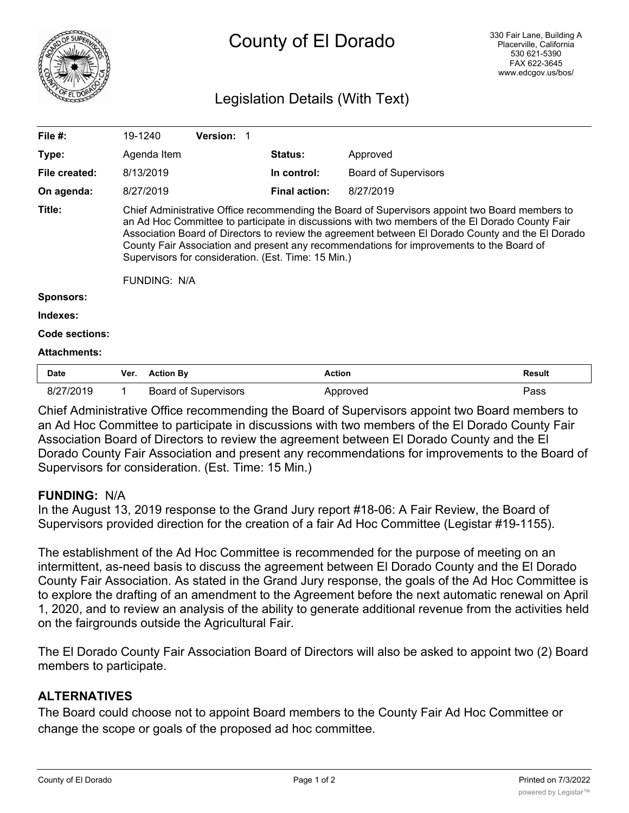

# County of El Dorado

## Legislation Details (With Text)

| File $#$ :            | 19-1240                                                                                                                                                                                                                                                                                                                                                                                                                                                                   | <b>Version:</b> |                      |                             |               |
|-----------------------|---------------------------------------------------------------------------------------------------------------------------------------------------------------------------------------------------------------------------------------------------------------------------------------------------------------------------------------------------------------------------------------------------------------------------------------------------------------------------|-----------------|----------------------|-----------------------------|---------------|
| Type:                 | Agenda Item                                                                                                                                                                                                                                                                                                                                                                                                                                                               |                 | <b>Status:</b>       | Approved                    |               |
| File created:         | 8/13/2019                                                                                                                                                                                                                                                                                                                                                                                                                                                                 |                 | In control:          | <b>Board of Supervisors</b> |               |
| On agenda:            | 8/27/2019                                                                                                                                                                                                                                                                                                                                                                                                                                                                 |                 | <b>Final action:</b> | 8/27/2019                   |               |
| Title:                | Chief Administrative Office recommending the Board of Supervisors appoint two Board members to<br>an Ad Hoc Committee to participate in discussions with two members of the El Dorado County Fair<br>Association Board of Directors to review the agreement between El Dorado County and the El Dorado<br>County Fair Association and present any recommendations for improvements to the Board of<br>Supervisors for consideration. (Est. Time: 15 Min.)<br>FUNDING: N/A |                 |                      |                             |               |
| <b>Sponsors:</b>      |                                                                                                                                                                                                                                                                                                                                                                                                                                                                           |                 |                      |                             |               |
| Indexes:              |                                                                                                                                                                                                                                                                                                                                                                                                                                                                           |                 |                      |                             |               |
| <b>Code sections:</b> |                                                                                                                                                                                                                                                                                                                                                                                                                                                                           |                 |                      |                             |               |
| <b>Attachments:</b>   |                                                                                                                                                                                                                                                                                                                                                                                                                                                                           |                 |                      |                             |               |
| <b>Date</b>           | Ver.<br><b>Action By</b>                                                                                                                                                                                                                                                                                                                                                                                                                                                  |                 | <b>Action</b>        |                             | <b>Result</b> |

Chief Administrative Office recommending the Board of Supervisors appoint two Board members to an Ad Hoc Committee to participate in discussions with two members of the El Dorado County Fair Association Board of Directors to review the agreement between El Dorado County and the El Dorado County Fair Association and present any recommendations for improvements to the Board of Supervisors for consideration. (Est. Time: 15 Min.)

8/27/2019 1 Board of Supervisors Approved Approved Pass

#### **FUNDING:** N/A

In the August 13, 2019 response to the Grand Jury report #18-06: A Fair Review, the Board of Supervisors provided direction for the creation of a fair Ad Hoc Committee (Legistar #19-1155).

The establishment of the Ad Hoc Committee is recommended for the purpose of meeting on an intermittent, as-need basis to discuss the agreement between El Dorado County and the El Dorado County Fair Association. As stated in the Grand Jury response, the goals of the Ad Hoc Committee is to explore the drafting of an amendment to the Agreement before the next automatic renewal on April 1, 2020, and to review an analysis of the ability to generate additional revenue from the activities held on the fairgrounds outside the Agricultural Fair.

The El Dorado County Fair Association Board of Directors will also be asked to appoint two (2) Board members to participate.

## **ALTERNATIVES**

The Board could choose not to appoint Board members to the County Fair Ad Hoc Committee or change the scope or goals of the proposed ad hoc committee.